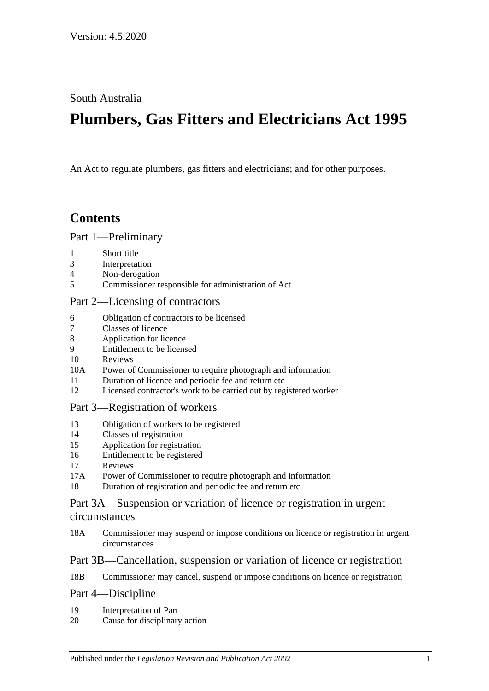South Australia

# **Plumbers, Gas Fitters and Electricians Act 1995**

An Act to regulate plumbers, gas fitters and electricians; and for other purposes.

## **Contents**

#### [Part 1—Preliminary](#page-1-0)

- 1 [Short title](#page-1-1)
- 3 [Interpretation](#page-1-2)
- 4 [Non-derogation](#page-3-0)
- 5 [Commissioner responsible for administration of Act](#page-3-1)

#### [Part 2—Licensing of contractors](#page-3-2)

- 6 [Obligation of contractors to be licensed](#page-3-3)
- 7 [Classes of licence](#page-4-0)
- 8 [Application for licence](#page-5-0)
- 9 [Entitlement to be licensed](#page-5-1)
- 10 [Reviews](#page-7-0)
- 10A [Power of Commissioner to require photograph and information](#page-7-1)
- 11 [Duration of licence and periodic fee and return etc](#page-7-2)
- 12 [Licensed contractor's work to be carried out by registered worker](#page-8-0)

#### [Part 3—Registration of workers](#page-8-1)

- 13 [Obligation of workers to be registered](#page-8-2)
- 14 [Classes of registration](#page-8-3)
- 15 [Application for registration](#page-9-0)
- 16 [Entitlement to be registered](#page-10-0)
- 17 [Reviews](#page-10-1)
- 17A [Power of Commissioner to require photograph and information](#page-10-2)
- 18 [Duration of registration and periodic fee and return etc](#page-11-0)

#### [Part 3A—Suspension or variation of licence or registration in urgent](#page-11-1)  [circumstances](#page-11-1)

18A [Commissioner may suspend or impose conditions on licence or registration in urgent](#page-11-2)  [circumstances](#page-11-2)

#### [Part 3B—Cancellation, suspension or variation of licence or registration](#page-12-0)

18B [Commissioner may cancel, suspend or impose conditions on licence or registration](#page-12-1)

#### [Part 4—Discipline](#page-13-0)

- 19 [Interpretation of Part](#page-13-1)
- 20 [Cause for disciplinary action](#page-13-2)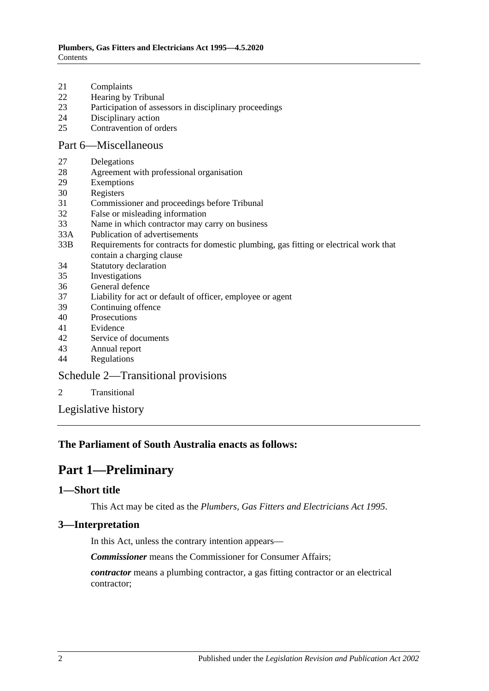- 21 [Complaints](#page-14-0)
- 22 [Hearing by Tribunal](#page-14-1)
- 23 [Participation of assessors in disciplinary proceedings](#page-14-2)
- 24 [Disciplinary action](#page-15-0)
- 25 [Contravention of orders](#page-16-0)

#### [Part 6—Miscellaneous](#page-16-1)

- 27 [Delegations](#page-16-2)
- 28 [Agreement with professional organisation](#page-16-3)
- 29 [Exemptions](#page-17-0)
- 30 [Registers](#page-17-1)
- 31 [Commissioner and proceedings before Tribunal](#page-18-0)
- 32 [False or misleading information](#page-18-1)
- 33 [Name in which contractor may carry on business](#page-18-2)
- 33A [Publication of advertisements](#page-18-3)
- 33B [Requirements for contracts for domestic plumbing, gas fitting or electrical work that](#page-19-0)  [contain a charging clause](#page-19-0)
- 34 [Statutory declaration](#page-19-1)
- 35 [Investigations](#page-19-2)
- 36 [General defence](#page-20-0)
- 37 [Liability for act or default of officer, employee or agent](#page-20-1)
- 39 [Continuing offence](#page-20-2)
- 40 [Prosecutions](#page-20-3)
- 41 [Evidence](#page-21-0)
- 42 [Service of documents](#page-21-1)
- 43 [Annual report](#page-21-2)
- 44 [Regulations](#page-21-3)

#### [Schedule 2—Transitional provisions](#page-22-0)

- 2 [Transitional](#page-22-1)
- [Legislative history](#page-24-0)

#### <span id="page-1-0"></span>**The Parliament of South Australia enacts as follows:**

## **Part 1—Preliminary**

#### <span id="page-1-1"></span>**1—Short title**

This Act may be cited as the *Plumbers, Gas Fitters and Electricians Act 1995*.

#### <span id="page-1-2"></span>**3—Interpretation**

In this Act, unless the contrary intention appears—

*Commissioner* means the Commissioner for Consumer Affairs;

*contractor* means a plumbing contractor, a gas fitting contractor or an electrical contractor;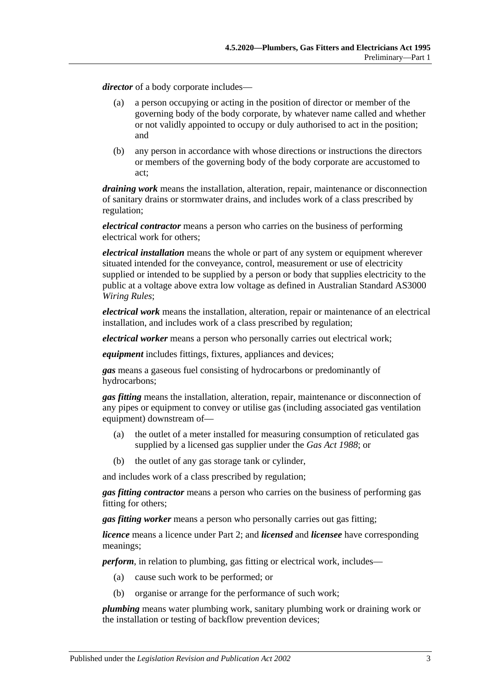*director* of a body corporate includes—

- (a) a person occupying or acting in the position of director or member of the governing body of the body corporate, by whatever name called and whether or not validly appointed to occupy or duly authorised to act in the position; and
- (b) any person in accordance with whose directions or instructions the directors or members of the governing body of the body corporate are accustomed to act;

*draining work* means the installation, alteration, repair, maintenance or disconnection of sanitary drains or stormwater drains, and includes work of a class prescribed by regulation;

*electrical contractor* means a person who carries on the business of performing electrical work for others;

*electrical installation* means the whole or part of any system or equipment wherever situated intended for the conveyance, control, measurement or use of electricity supplied or intended to be supplied by a person or body that supplies electricity to the public at a voltage above extra low voltage as defined in Australian Standard AS3000 *Wiring Rules*;

*electrical work* means the installation, alteration, repair or maintenance of an electrical installation, and includes work of a class prescribed by regulation;

*electrical worker* means a person who personally carries out electrical work;

*equipment* includes fittings, fixtures, appliances and devices;

*gas* means a gaseous fuel consisting of hydrocarbons or predominantly of hydrocarbons;

*gas fitting* means the installation, alteration, repair, maintenance or disconnection of any pipes or equipment to convey or utilise gas (including associated gas ventilation equipment) downstream of—

- (a) the outlet of a meter installed for measuring consumption of reticulated gas supplied by a licensed gas supplier under the *[Gas Act](http://www.legislation.sa.gov.au/index.aspx?action=legref&type=act&legtitle=Gas%20Act%201988) 1988*; or
- (b) the outlet of any gas storage tank or cylinder,

and includes work of a class prescribed by regulation;

*gas fitting contractor* means a person who carries on the business of performing gas fitting for others;

*gas fitting worker* means a person who personally carries out gas fitting;

*licence* means a licence under [Part 2;](#page-3-2) and *licensed* and *licensee* have corresponding meanings;

*perform*, in relation to plumbing, gas fitting or electrical work, includes—

- (a) cause such work to be performed; or
- (b) organise or arrange for the performance of such work;

*plumbing* means water plumbing work, sanitary plumbing work or draining work or the installation or testing of backflow prevention devices;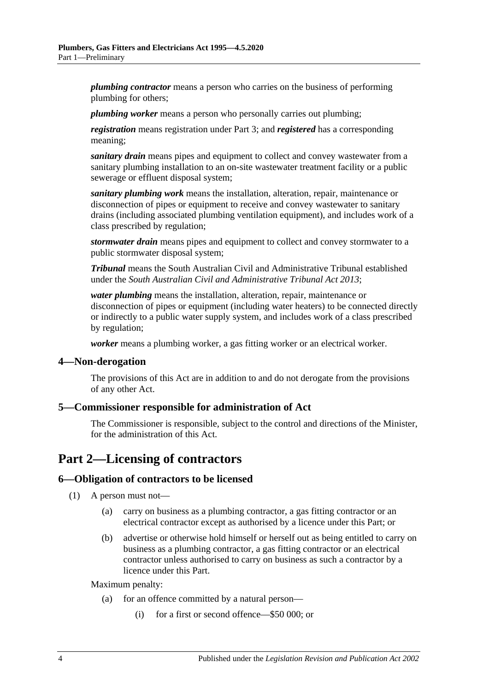*plumbing contractor* means a person who carries on the business of performing plumbing for others;

*plumbing worker* means a person who personally carries out plumbing;

*registration* means registration under [Part 3;](#page-8-1) and *registered* has a corresponding meaning;

*sanitary drain* means pipes and equipment to collect and convey wastewater from a sanitary plumbing installation to an on-site wastewater treatment facility or a public sewerage or effluent disposal system;

*sanitary plumbing work* means the installation, alteration, repair, maintenance or disconnection of pipes or equipment to receive and convey wastewater to sanitary drains (including associated plumbing ventilation equipment), and includes work of a class prescribed by regulation;

*stormwater drain* means pipes and equipment to collect and convey stormwater to a public stormwater disposal system;

*Tribunal* means the South Australian Civil and Administrative Tribunal established under the *[South Australian Civil and Administrative Tribunal Act](http://www.legislation.sa.gov.au/index.aspx?action=legref&type=act&legtitle=South%20Australian%20Civil%20and%20Administrative%20Tribunal%20Act%202013) 2013*;

*water plumbing* means the installation, alteration, repair, maintenance or disconnection of pipes or equipment (including water heaters) to be connected directly or indirectly to a public water supply system, and includes work of a class prescribed by regulation;

*worker* means a plumbing worker, a gas fitting worker or an electrical worker.

#### <span id="page-3-0"></span>**4—Non-derogation**

The provisions of this Act are in addition to and do not derogate from the provisions of any other Act.

#### <span id="page-3-1"></span>**5—Commissioner responsible for administration of Act**

The Commissioner is responsible, subject to the control and directions of the Minister, for the administration of this Act.

## <span id="page-3-2"></span>**Part 2—Licensing of contractors**

#### <span id="page-3-3"></span>**6—Obligation of contractors to be licensed**

- (1) A person must not—
	- (a) carry on business as a plumbing contractor, a gas fitting contractor or an electrical contractor except as authorised by a licence under this Part; or
	- (b) advertise or otherwise hold himself or herself out as being entitled to carry on business as a plumbing contractor, a gas fitting contractor or an electrical contractor unless authorised to carry on business as such a contractor by a licence under this Part.

Maximum penalty:

- (a) for an offence committed by a natural person—
	- (i) for a first or second offence—\$50 000; or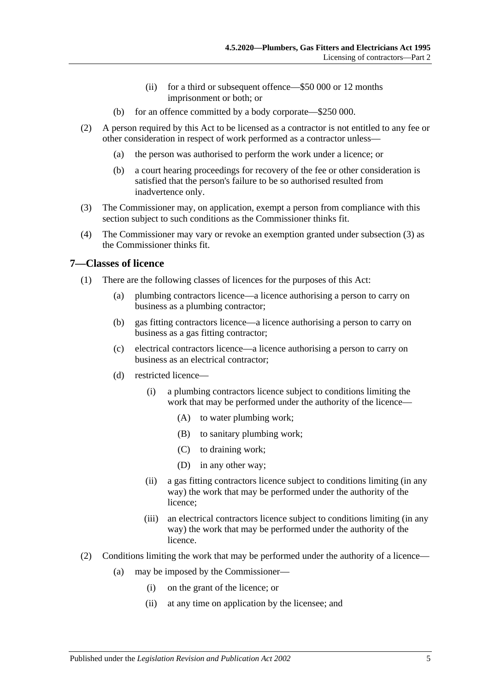- (ii) for a third or subsequent offence—\$50 000 or 12 months imprisonment or both; or
- (b) for an offence committed by a body corporate—\$250 000.
- (2) A person required by this Act to be licensed as a contractor is not entitled to any fee or other consideration in respect of work performed as a contractor unless—
	- (a) the person was authorised to perform the work under a licence; or
	- (b) a court hearing proceedings for recovery of the fee or other consideration is satisfied that the person's failure to be so authorised resulted from inadvertence only.
- <span id="page-4-1"></span>(3) The Commissioner may, on application, exempt a person from compliance with this section subject to such conditions as the Commissioner thinks fit.
- (4) The Commissioner may vary or revoke an exemption granted under [subsection](#page-4-1) (3) as the Commissioner thinks fit.

#### <span id="page-4-0"></span>**7—Classes of licence**

- (1) There are the following classes of licences for the purposes of this Act:
	- (a) plumbing contractors licence—a licence authorising a person to carry on business as a plumbing contractor;
	- (b) gas fitting contractors licence—a licence authorising a person to carry on business as a gas fitting contractor;
	- (c) electrical contractors licence—a licence authorising a person to carry on business as an electrical contractor;
	- (d) restricted licence—
		- (i) a plumbing contractors licence subject to conditions limiting the work that may be performed under the authority of the licence—
			- (A) to water plumbing work;
			- (B) to sanitary plumbing work;
			- (C) to draining work;
			- (D) in any other way;
		- (ii) a gas fitting contractors licence subject to conditions limiting (in any way) the work that may be performed under the authority of the licence;
		- (iii) an electrical contractors licence subject to conditions limiting (in any way) the work that may be performed under the authority of the licence.
- (2) Conditions limiting the work that may be performed under the authority of a licence—
	- (a) may be imposed by the Commissioner—
		- (i) on the grant of the licence; or
		- (ii) at any time on application by the licensee; and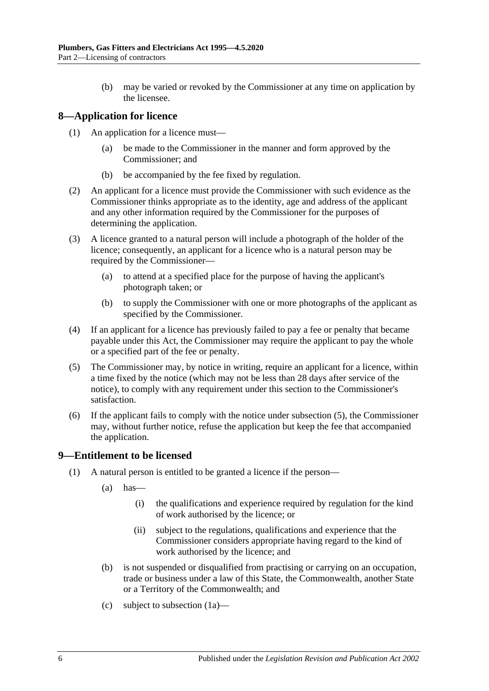(b) may be varied or revoked by the Commissioner at any time on application by the licensee.

#### <span id="page-5-0"></span>**8—Application for licence**

- (1) An application for a licence must—
	- (a) be made to the Commissioner in the manner and form approved by the Commissioner; and
	- (b) be accompanied by the fee fixed by regulation.
- (2) An applicant for a licence must provide the Commissioner with such evidence as the Commissioner thinks appropriate as to the identity, age and address of the applicant and any other information required by the Commissioner for the purposes of determining the application.
- (3) A licence granted to a natural person will include a photograph of the holder of the licence; consequently, an applicant for a licence who is a natural person may be required by the Commissioner—
	- (a) to attend at a specified place for the purpose of having the applicant's photograph taken; or
	- (b) to supply the Commissioner with one or more photographs of the applicant as specified by the Commissioner.
- (4) If an applicant for a licence has previously failed to pay a fee or penalty that became payable under this Act, the Commissioner may require the applicant to pay the whole or a specified part of the fee or penalty.
- <span id="page-5-2"></span>(5) The Commissioner may, by notice in writing, require an applicant for a licence, within a time fixed by the notice (which may not be less than 28 days after service of the notice), to comply with any requirement under this section to the Commissioner's satisfaction.
- (6) If the applicant fails to comply with the notice under [subsection](#page-5-2) (5), the Commissioner may, without further notice, refuse the application but keep the fee that accompanied the application.

#### <span id="page-5-1"></span>**9—Entitlement to be licensed**

- <span id="page-5-3"></span>(1) A natural person is entitled to be granted a licence if the person—
	- $(a)$  has
		- (i) the qualifications and experience required by regulation for the kind of work authorised by the licence; or
		- (ii) subject to the regulations, qualifications and experience that the Commissioner considers appropriate having regard to the kind of work authorised by the licence; and
	- (b) is not suspended or disqualified from practising or carrying on an occupation, trade or business under a law of this State, the Commonwealth, another State or a Territory of the Commonwealth; and
	- (c) subject to [subsection](#page-6-0) (1a)—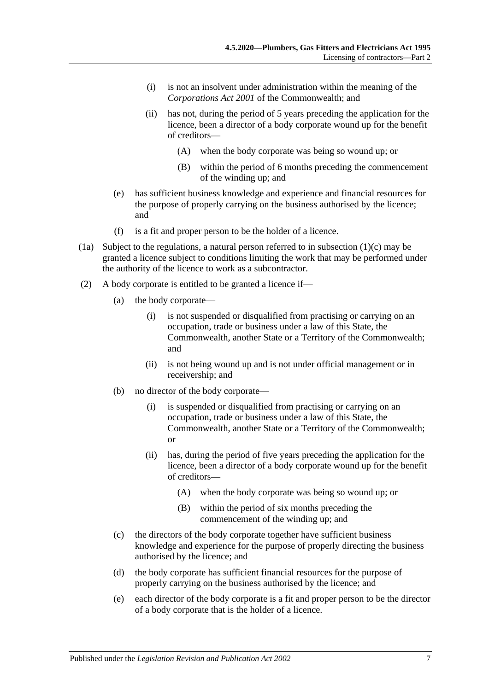- (i) is not an insolvent under administration within the meaning of the *Corporations Act 2001* of the Commonwealth; and
- (ii) has not, during the period of 5 years preceding the application for the licence, been a director of a body corporate wound up for the benefit of creditors—
	- (A) when the body corporate was being so wound up; or
	- (B) within the period of 6 months preceding the commencement of the winding up; and
- (e) has sufficient business knowledge and experience and financial resources for the purpose of properly carrying on the business authorised by the licence; and
- (f) is a fit and proper person to be the holder of a licence.
- <span id="page-6-0"></span>(1a) Subject to the regulations, a natural person referred to in [subsection](#page-5-3) (1)(c) may be granted a licence subject to conditions limiting the work that may be performed under the authority of the licence to work as a subcontractor.
- (2) A body corporate is entitled to be granted a licence if—
	- (a) the body corporate—
		- (i) is not suspended or disqualified from practising or carrying on an occupation, trade or business under a law of this State, the Commonwealth, another State or a Territory of the Commonwealth; and
		- (ii) is not being wound up and is not under official management or in receivership; and
	- (b) no director of the body corporate—
		- (i) is suspended or disqualified from practising or carrying on an occupation, trade or business under a law of this State, the Commonwealth, another State or a Territory of the Commonwealth; or
		- (ii) has, during the period of five years preceding the application for the licence, been a director of a body corporate wound up for the benefit of creditors—
			- (A) when the body corporate was being so wound up; or
			- (B) within the period of six months preceding the commencement of the winding up; and
	- (c) the directors of the body corporate together have sufficient business knowledge and experience for the purpose of properly directing the business authorised by the licence; and
	- (d) the body corporate has sufficient financial resources for the purpose of properly carrying on the business authorised by the licence; and
	- (e) each director of the body corporate is a fit and proper person to be the director of a body corporate that is the holder of a licence.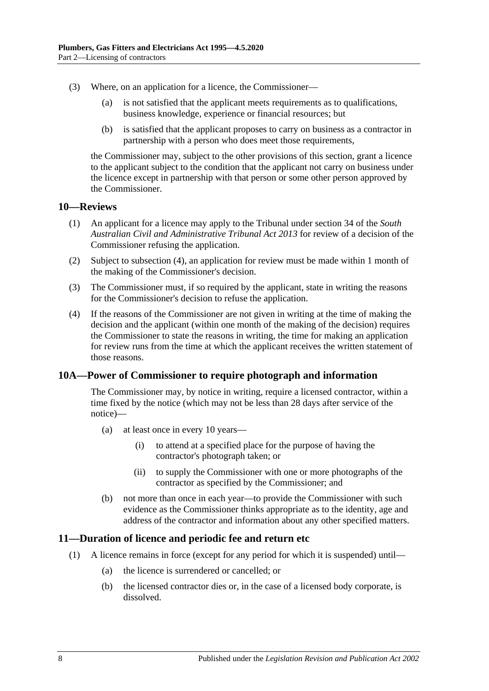- (3) Where, on an application for a licence, the Commissioner—
	- (a) is not satisfied that the applicant meets requirements as to qualifications, business knowledge, experience or financial resources; but
	- (b) is satisfied that the applicant proposes to carry on business as a contractor in partnership with a person who does meet those requirements,

the Commissioner may, subject to the other provisions of this section, grant a licence to the applicant subject to the condition that the applicant not carry on business under the licence except in partnership with that person or some other person approved by the Commissioner.

#### <span id="page-7-0"></span>**10—Reviews**

- (1) An applicant for a licence may apply to the Tribunal under section 34 of the *[South](http://www.legislation.sa.gov.au/index.aspx?action=legref&type=act&legtitle=South%20Australian%20Civil%20and%20Administrative%20Tribunal%20Act%202013)  [Australian Civil and Administrative Tribunal Act](http://www.legislation.sa.gov.au/index.aspx?action=legref&type=act&legtitle=South%20Australian%20Civil%20and%20Administrative%20Tribunal%20Act%202013) 2013* for review of a decision of the Commissioner refusing the application.
- (2) Subject to [subsection](#page-7-3) (4), an application for review must be made within 1 month of the making of the Commissioner's decision.
- (3) The Commissioner must, if so required by the applicant, state in writing the reasons for the Commissioner's decision to refuse the application.
- <span id="page-7-3"></span>(4) If the reasons of the Commissioner are not given in writing at the time of making the decision and the applicant (within one month of the making of the decision) requires the Commissioner to state the reasons in writing, the time for making an application for review runs from the time at which the applicant receives the written statement of those reasons.

#### <span id="page-7-1"></span>**10A—Power of Commissioner to require photograph and information**

The Commissioner may, by notice in writing, require a licensed contractor, within a time fixed by the notice (which may not be less than 28 days after service of the notice)—

- (a) at least once in every 10 years—
	- (i) to attend at a specified place for the purpose of having the contractor's photograph taken; or
	- (ii) to supply the Commissioner with one or more photographs of the contractor as specified by the Commissioner; and
- (b) not more than once in each year—to provide the Commissioner with such evidence as the Commissioner thinks appropriate as to the identity, age and address of the contractor and information about any other specified matters.

#### <span id="page-7-2"></span>**11—Duration of licence and periodic fee and return etc**

- (1) A licence remains in force (except for any period for which it is suspended) until—
	- (a) the licence is surrendered or cancelled; or
	- (b) the licensed contractor dies or, in the case of a licensed body corporate, is dissolved.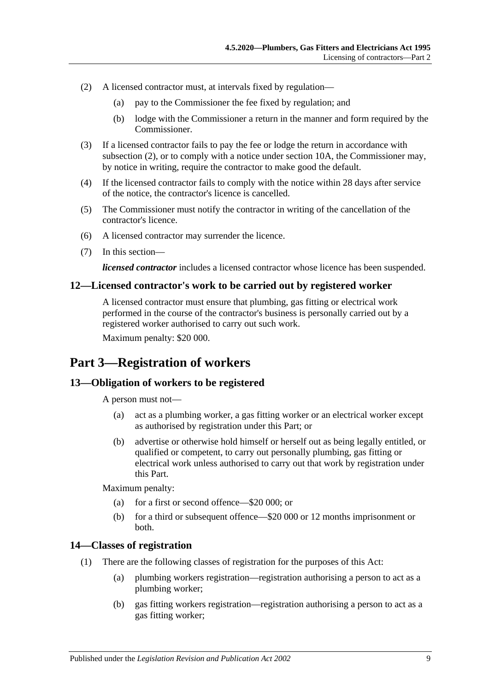- <span id="page-8-4"></span>(2) A licensed contractor must, at intervals fixed by regulation—
	- (a) pay to the Commissioner the fee fixed by regulation; and
	- (b) lodge with the Commissioner a return in the manner and form required by the Commissioner.
- (3) If a licensed contractor fails to pay the fee or lodge the return in accordance with [subsection](#page-8-4) (2), or to comply with a notice under [section](#page-7-1) 10A, the Commissioner may, by notice in writing, require the contractor to make good the default.
- (4) If the licensed contractor fails to comply with the notice within 28 days after service of the notice, the contractor's licence is cancelled.
- (5) The Commissioner must notify the contractor in writing of the cancellation of the contractor's licence.
- (6) A licensed contractor may surrender the licence.
- (7) In this section—

*licensed contractor* includes a licensed contractor whose licence has been suspended.

#### <span id="page-8-0"></span>**12—Licensed contractor's work to be carried out by registered worker**

A licensed contractor must ensure that plumbing, gas fitting or electrical work performed in the course of the contractor's business is personally carried out by a registered worker authorised to carry out such work.

Maximum penalty: \$20 000.

## <span id="page-8-1"></span>**Part 3—Registration of workers**

#### <span id="page-8-2"></span>**13—Obligation of workers to be registered**

A person must not—

- (a) act as a plumbing worker, a gas fitting worker or an electrical worker except as authorised by registration under this Part; or
- (b) advertise or otherwise hold himself or herself out as being legally entitled, or qualified or competent, to carry out personally plumbing, gas fitting or electrical work unless authorised to carry out that work by registration under this Part.

Maximum penalty:

- (a) for a first or second offence—\$20 000; or
- (b) for a third or subsequent offence—\$20 000 or 12 months imprisonment or both.

#### <span id="page-8-3"></span>**14—Classes of registration**

- (1) There are the following classes of registration for the purposes of this Act:
	- (a) plumbing workers registration—registration authorising a person to act as a plumbing worker;
	- (b) gas fitting workers registration—registration authorising a person to act as a gas fitting worker;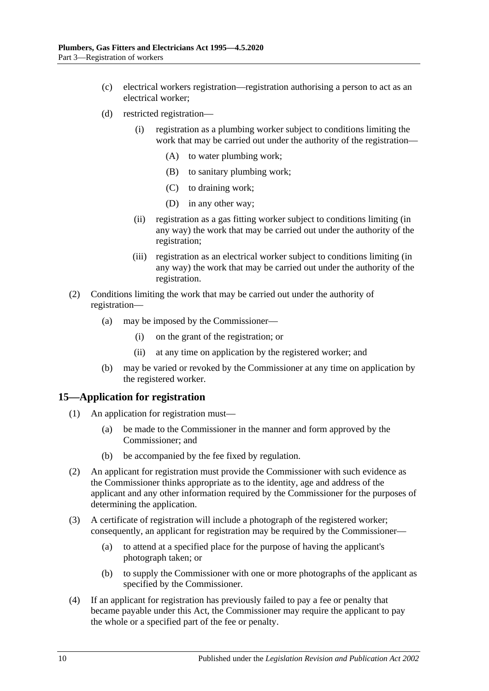- (c) electrical workers registration—registration authorising a person to act as an electrical worker;
- (d) restricted registration—
	- (i) registration as a plumbing worker subject to conditions limiting the work that may be carried out under the authority of the registration—
		- (A) to water plumbing work;
		- (B) to sanitary plumbing work;
		- (C) to draining work;
		- (D) in any other way;
	- (ii) registration as a gas fitting worker subject to conditions limiting (in any way) the work that may be carried out under the authority of the registration;
	- (iii) registration as an electrical worker subject to conditions limiting (in any way) the work that may be carried out under the authority of the registration.
- (2) Conditions limiting the work that may be carried out under the authority of registration—
	- (a) may be imposed by the Commissioner—
		- (i) on the grant of the registration; or
		- (ii) at any time on application by the registered worker; and
	- (b) may be varied or revoked by the Commissioner at any time on application by the registered worker.

#### <span id="page-9-0"></span>**15—Application for registration**

- (1) An application for registration must—
	- (a) be made to the Commissioner in the manner and form approved by the Commissioner; and
	- (b) be accompanied by the fee fixed by regulation.
- (2) An applicant for registration must provide the Commissioner with such evidence as the Commissioner thinks appropriate as to the identity, age and address of the applicant and any other information required by the Commissioner for the purposes of determining the application.
- (3) A certificate of registration will include a photograph of the registered worker; consequently, an applicant for registration may be required by the Commissioner—
	- (a) to attend at a specified place for the purpose of having the applicant's photograph taken; or
	- (b) to supply the Commissioner with one or more photographs of the applicant as specified by the Commissioner.
- (4) If an applicant for registration has previously failed to pay a fee or penalty that became payable under this Act, the Commissioner may require the applicant to pay the whole or a specified part of the fee or penalty.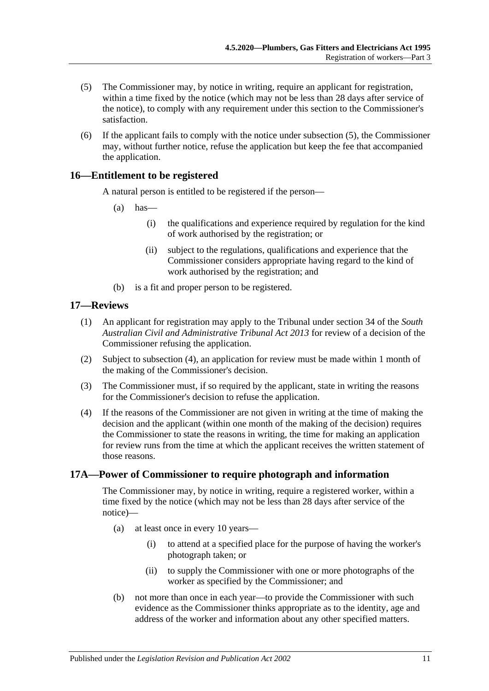- <span id="page-10-3"></span>(5) The Commissioner may, by notice in writing, require an applicant for registration, within a time fixed by the notice (which may not be less than 28 days after service of the notice), to comply with any requirement under this section to the Commissioner's satisfaction.
- (6) If the applicant fails to comply with the notice under [subsection](#page-10-3) (5), the Commissioner may, without further notice, refuse the application but keep the fee that accompanied the application.

#### <span id="page-10-0"></span>**16—Entitlement to be registered**

A natural person is entitled to be registered if the person—

- $(a)$  has—
	- (i) the qualifications and experience required by regulation for the kind of work authorised by the registration; or
	- (ii) subject to the regulations, qualifications and experience that the Commissioner considers appropriate having regard to the kind of work authorised by the registration; and
- (b) is a fit and proper person to be registered.

#### <span id="page-10-1"></span>**17—Reviews**

- (1) An applicant for registration may apply to the Tribunal under section 34 of the *[South](http://www.legislation.sa.gov.au/index.aspx?action=legref&type=act&legtitle=South%20Australian%20Civil%20and%20Administrative%20Tribunal%20Act%202013)  [Australian Civil and Administrative Tribunal Act](http://www.legislation.sa.gov.au/index.aspx?action=legref&type=act&legtitle=South%20Australian%20Civil%20and%20Administrative%20Tribunal%20Act%202013) 2013* for review of a decision of the Commissioner refusing the application.
- (2) Subject to [subsection](#page-10-4) (4), an application for review must be made within 1 month of the making of the Commissioner's decision.
- (3) The Commissioner must, if so required by the applicant, state in writing the reasons for the Commissioner's decision to refuse the application.
- <span id="page-10-4"></span>(4) If the reasons of the Commissioner are not given in writing at the time of making the decision and the applicant (within one month of the making of the decision) requires the Commissioner to state the reasons in writing, the time for making an application for review runs from the time at which the applicant receives the written statement of those reasons.

#### <span id="page-10-2"></span>**17A—Power of Commissioner to require photograph and information**

The Commissioner may, by notice in writing, require a registered worker, within a time fixed by the notice (which may not be less than 28 days after service of the notice)—

- (a) at least once in every 10 years—
	- (i) to attend at a specified place for the purpose of having the worker's photograph taken; or
	- (ii) to supply the Commissioner with one or more photographs of the worker as specified by the Commissioner; and
- (b) not more than once in each year—to provide the Commissioner with such evidence as the Commissioner thinks appropriate as to the identity, age and address of the worker and information about any other specified matters.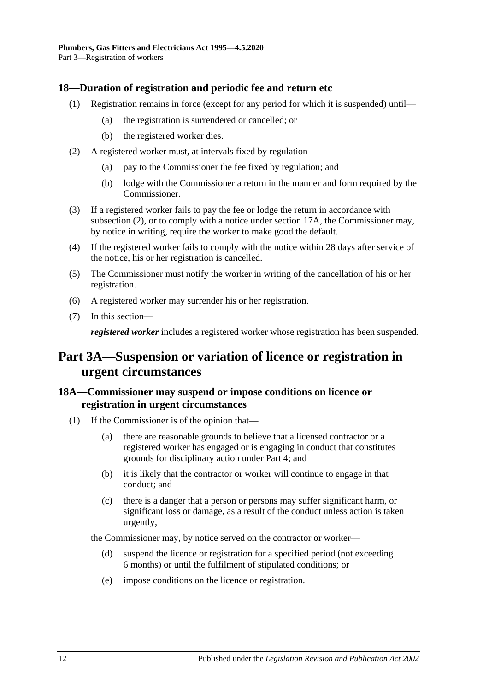#### <span id="page-11-0"></span>**18—Duration of registration and periodic fee and return etc**

- (1) Registration remains in force (except for any period for which it is suspended) until—
	- (a) the registration is surrendered or cancelled; or
	- (b) the registered worker dies.
- <span id="page-11-3"></span>(2) A registered worker must, at intervals fixed by regulation—
	- (a) pay to the Commissioner the fee fixed by regulation; and
	- (b) lodge with the Commissioner a return in the manner and form required by the Commissioner.
- (3) If a registered worker fails to pay the fee or lodge the return in accordance with [subsection](#page-11-3) (2), or to comply with a notice under [section](#page-10-2) 17A, the Commissioner may, by notice in writing, require the worker to make good the default.
- (4) If the registered worker fails to comply with the notice within 28 days after service of the notice, his or her registration is cancelled.
- (5) The Commissioner must notify the worker in writing of the cancellation of his or her registration.
- (6) A registered worker may surrender his or her registration.
- (7) In this section—

*registered worker* includes a registered worker whose registration has been suspended.

## <span id="page-11-1"></span>**Part 3A—Suspension or variation of licence or registration in urgent circumstances**

#### <span id="page-11-2"></span>**18A—Commissioner may suspend or impose conditions on licence or registration in urgent circumstances**

- (1) If the Commissioner is of the opinion that—
	- (a) there are reasonable grounds to believe that a licensed contractor or a registered worker has engaged or is engaging in conduct that constitutes grounds for disciplinary action under [Part 4;](#page-13-0) and
	- (b) it is likely that the contractor or worker will continue to engage in that conduct; and
	- (c) there is a danger that a person or persons may suffer significant harm, or significant loss or damage, as a result of the conduct unless action is taken urgently,

the Commissioner may, by notice served on the contractor or worker—

- (d) suspend the licence or registration for a specified period (not exceeding 6 months) or until the fulfilment of stipulated conditions; or
- (e) impose conditions on the licence or registration.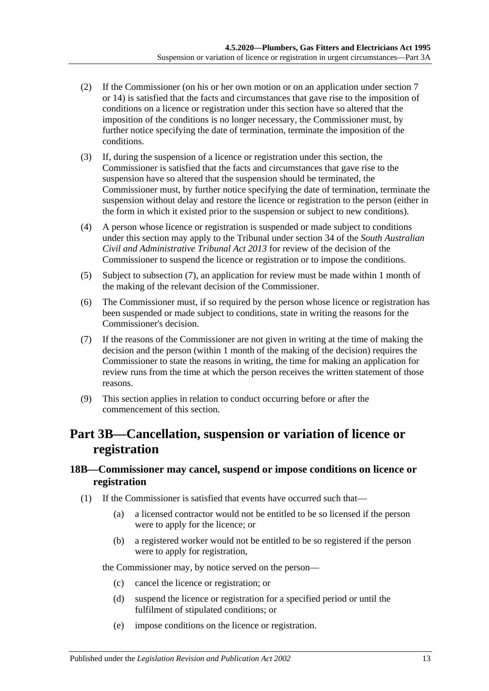- (2) If the Commissioner (on his or her own motion or on an application under [section](#page-4-0) 7 or [14\)](#page-8-3) is satisfied that the facts and circumstances that gave rise to the imposition of conditions on a licence or registration under this section have so altered that the imposition of the conditions is no longer necessary, the Commissioner must, by further notice specifying the date of termination, terminate the imposition of the conditions.
- (3) If, during the suspension of a licence or registration under this section, the Commissioner is satisfied that the facts and circumstances that gave rise to the suspension have so altered that the suspension should be terminated, the Commissioner must, by further notice specifying the date of termination, terminate the suspension without delay and restore the licence or registration to the person (either in the form in which it existed prior to the suspension or subject to new conditions).
- (4) A person whose licence or registration is suspended or made subject to conditions under this section may apply to the Tribunal under section 34 of the *[South Australian](http://www.legislation.sa.gov.au/index.aspx?action=legref&type=act&legtitle=South%20Australian%20Civil%20and%20Administrative%20Tribunal%20Act%202013)  [Civil and Administrative Tribunal Act](http://www.legislation.sa.gov.au/index.aspx?action=legref&type=act&legtitle=South%20Australian%20Civil%20and%20Administrative%20Tribunal%20Act%202013) 2013* for review of the decision of the Commissioner to suspend the licence or registration or to impose the conditions.
- (5) Subject to subsection (7), an application for review must be made within 1 month of the making of the relevant decision of the Commissioner.
- (6) The Commissioner must, if so required by the person whose licence or registration has been suspended or made subject to conditions, state in writing the reasons for the Commissioner's decision.
- (7) If the reasons of the Commissioner are not given in writing at the time of making the decision and the person (within 1 month of the making of the decision) requires the Commissioner to state the reasons in writing, the time for making an application for review runs from the time at which the person receives the written statement of those reasons.
- (9) This section applies in relation to conduct occurring before or after the commencement of this section.

## <span id="page-12-0"></span>**Part 3B—Cancellation, suspension or variation of licence or registration**

#### <span id="page-12-1"></span>**18B—Commissioner may cancel, suspend or impose conditions on licence or registration**

- (1) If the Commissioner is satisfied that events have occurred such that—
	- (a) a licensed contractor would not be entitled to be so licensed if the person were to apply for the licence; or
	- (b) a registered worker would not be entitled to be so registered if the person were to apply for registration,

the Commissioner may, by notice served on the person—

- (c) cancel the licence or registration; or
- (d) suspend the licence or registration for a specified period or until the fulfilment of stipulated conditions; or
- (e) impose conditions on the licence or registration.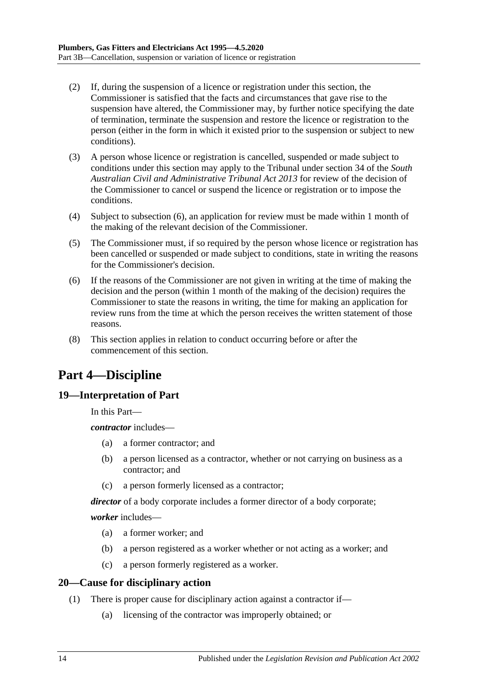- (2) If, during the suspension of a licence or registration under this section, the Commissioner is satisfied that the facts and circumstances that gave rise to the suspension have altered, the Commissioner may, by further notice specifying the date of termination, terminate the suspension and restore the licence or registration to the person (either in the form in which it existed prior to the suspension or subject to new conditions).
- (3) A person whose licence or registration is cancelled, suspended or made subject to conditions under this section may apply to the Tribunal under section 34 of the *[South](http://www.legislation.sa.gov.au/index.aspx?action=legref&type=act&legtitle=South%20Australian%20Civil%20and%20Administrative%20Tribunal%20Act%202013)  [Australian Civil and Administrative Tribunal Act](http://www.legislation.sa.gov.au/index.aspx?action=legref&type=act&legtitle=South%20Australian%20Civil%20and%20Administrative%20Tribunal%20Act%202013) 2013* for review of the decision of the Commissioner to cancel or suspend the licence or registration or to impose the conditions.
- (4) Subject to subsection (6), an application for review must be made within 1 month of the making of the relevant decision of the Commissioner.
- (5) The Commissioner must, if so required by the person whose licence or registration has been cancelled or suspended or made subject to conditions, state in writing the reasons for the Commissioner's decision.
- (6) If the reasons of the Commissioner are not given in writing at the time of making the decision and the person (within 1 month of the making of the decision) requires the Commissioner to state the reasons in writing, the time for making an application for review runs from the time at which the person receives the written statement of those reasons.
- (8) This section applies in relation to conduct occurring before or after the commencement of this section.

## <span id="page-13-0"></span>**Part 4—Discipline**

### <span id="page-13-1"></span>**19—Interpretation of Part**

In this Part—

*contractor* includes—

- (a) a former contractor; and
- (b) a person licensed as a contractor, whether or not carrying on business as a contractor; and
- (c) a person formerly licensed as a contractor;

*director* of a body corporate includes a former director of a body corporate;

*worker* includes—

- (a) a former worker; and
- (b) a person registered as a worker whether or not acting as a worker; and
- (c) a person formerly registered as a worker.

### <span id="page-13-2"></span>**20—Cause for disciplinary action**

- (1) There is proper cause for disciplinary action against a contractor if—
	- (a) licensing of the contractor was improperly obtained; or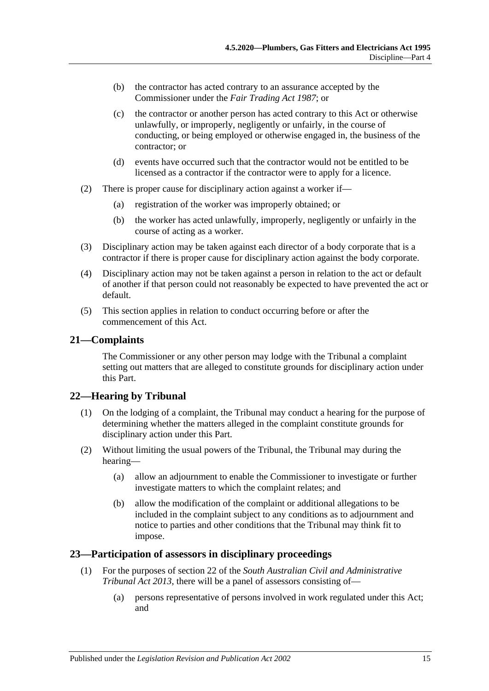- (b) the contractor has acted contrary to an assurance accepted by the Commissioner under the *[Fair Trading Act](http://www.legislation.sa.gov.au/index.aspx?action=legref&type=act&legtitle=Fair%20Trading%20Act%201987) 1987*; or
- (c) the contractor or another person has acted contrary to this Act or otherwise unlawfully, or improperly, negligently or unfairly, in the course of conducting, or being employed or otherwise engaged in, the business of the contractor; or
- (d) events have occurred such that the contractor would not be entitled to be licensed as a contractor if the contractor were to apply for a licence.
- (2) There is proper cause for disciplinary action against a worker if—
	- (a) registration of the worker was improperly obtained; or
	- (b) the worker has acted unlawfully, improperly, negligently or unfairly in the course of acting as a worker.
- (3) Disciplinary action may be taken against each director of a body corporate that is a contractor if there is proper cause for disciplinary action against the body corporate.
- (4) Disciplinary action may not be taken against a person in relation to the act or default of another if that person could not reasonably be expected to have prevented the act or default.
- (5) This section applies in relation to conduct occurring before or after the commencement of this Act.

#### <span id="page-14-0"></span>**21—Complaints**

The Commissioner or any other person may lodge with the Tribunal a complaint setting out matters that are alleged to constitute grounds for disciplinary action under this Part.

#### <span id="page-14-1"></span>**22—Hearing by Tribunal**

- (1) On the lodging of a complaint, the Tribunal may conduct a hearing for the purpose of determining whether the matters alleged in the complaint constitute grounds for disciplinary action under this Part.
- (2) Without limiting the usual powers of the Tribunal, the Tribunal may during the hearing—
	- (a) allow an adjournment to enable the Commissioner to investigate or further investigate matters to which the complaint relates; and
	- (b) allow the modification of the complaint or additional allegations to be included in the complaint subject to any conditions as to adjournment and notice to parties and other conditions that the Tribunal may think fit to impose.

#### <span id="page-14-2"></span>**23—Participation of assessors in disciplinary proceedings**

- (1) For the purposes of section 22 of the *[South Australian Civil and Administrative](http://www.legislation.sa.gov.au/index.aspx?action=legref&type=act&legtitle=South%20Australian%20Civil%20and%20Administrative%20Tribunal%20Act%202013)  [Tribunal Act](http://www.legislation.sa.gov.au/index.aspx?action=legref&type=act&legtitle=South%20Australian%20Civil%20and%20Administrative%20Tribunal%20Act%202013) 2013*, there will be a panel of assessors consisting of—
	- (a) persons representative of persons involved in work regulated under this Act; and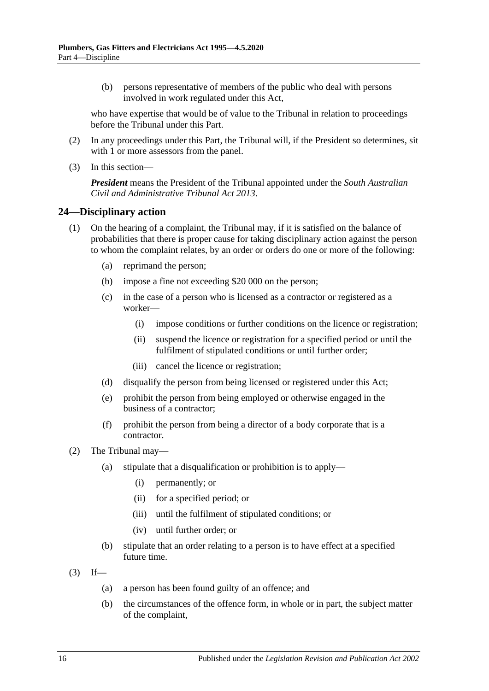(b) persons representative of members of the public who deal with persons involved in work regulated under this Act,

who have expertise that would be of value to the Tribunal in relation to proceedings before the Tribunal under this Part.

- (2) In any proceedings under this Part, the Tribunal will, if the President so determines, sit with 1 or more assessors from the panel.
- (3) In this section—

*President* means the President of the Tribunal appointed under the *[South Australian](http://www.legislation.sa.gov.au/index.aspx?action=legref&type=act&legtitle=South%20Australian%20Civil%20and%20Administrative%20Tribunal%20Act%202013)  [Civil and Administrative Tribunal Act](http://www.legislation.sa.gov.au/index.aspx?action=legref&type=act&legtitle=South%20Australian%20Civil%20and%20Administrative%20Tribunal%20Act%202013) 2013*.

#### <span id="page-15-0"></span>**24—Disciplinary action**

- (1) On the hearing of a complaint, the Tribunal may, if it is satisfied on the balance of probabilities that there is proper cause for taking disciplinary action against the person to whom the complaint relates, by an order or orders do one or more of the following:
	- (a) reprimand the person;
	- (b) impose a fine not exceeding \$20 000 on the person;
	- (c) in the case of a person who is licensed as a contractor or registered as a worker—
		- (i) impose conditions or further conditions on the licence or registration;
		- (ii) suspend the licence or registration for a specified period or until the fulfilment of stipulated conditions or until further order;
		- (iii) cancel the licence or registration;
	- (d) disqualify the person from being licensed or registered under this Act;
	- (e) prohibit the person from being employed or otherwise engaged in the business of a contractor;
	- (f) prohibit the person from being a director of a body corporate that is a contractor.
- (2) The Tribunal may—
	- (a) stipulate that a disqualification or prohibition is to apply—
		- (i) permanently; or
		- (ii) for a specified period; or
		- (iii) until the fulfilment of stipulated conditions; or
		- (iv) until further order; or
	- (b) stipulate that an order relating to a person is to have effect at a specified future time.
- $(3)$  If—
	- (a) a person has been found guilty of an offence; and
	- (b) the circumstances of the offence form, in whole or in part, the subject matter of the complaint,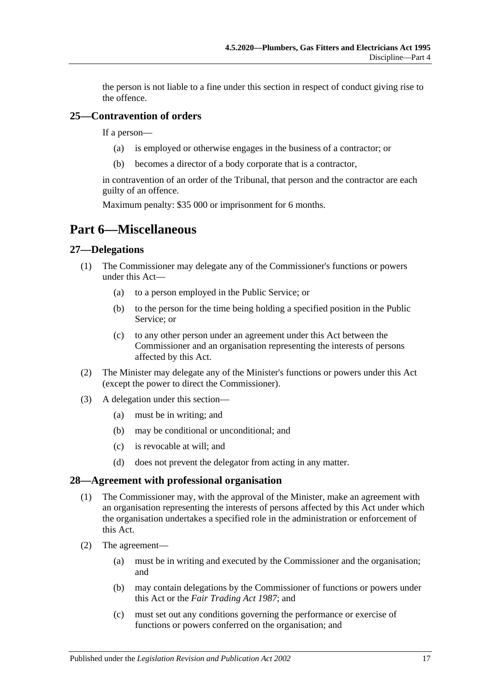the person is not liable to a fine under this section in respect of conduct giving rise to the offence.

#### <span id="page-16-0"></span>**25—Contravention of orders**

If a person—

- (a) is employed or otherwise engages in the business of a contractor; or
- (b) becomes a director of a body corporate that is a contractor,

in contravention of an order of the Tribunal, that person and the contractor are each guilty of an offence.

Maximum penalty: \$35 000 or imprisonment for 6 months.

## <span id="page-16-1"></span>**Part 6—Miscellaneous**

#### <span id="page-16-2"></span>**27—Delegations**

- (1) The Commissioner may delegate any of the Commissioner's functions or powers under this Act—
	- (a) to a person employed in the Public Service; or
	- (b) to the person for the time being holding a specified position in the Public Service; or
	- (c) to any other person under an agreement under this Act between the Commissioner and an organisation representing the interests of persons affected by this Act.
- (2) The Minister may delegate any of the Minister's functions or powers under this Act (except the power to direct the Commissioner).
- (3) A delegation under this section—
	- (a) must be in writing; and
	- (b) may be conditional or unconditional; and
	- (c) is revocable at will; and
	- (d) does not prevent the delegator from acting in any matter.

#### <span id="page-16-3"></span>**28—Agreement with professional organisation**

- (1) The Commissioner may, with the approval of the Minister, make an agreement with an organisation representing the interests of persons affected by this Act under which the organisation undertakes a specified role in the administration or enforcement of this Act.
- (2) The agreement—
	- (a) must be in writing and executed by the Commissioner and the organisation; and
	- (b) may contain delegations by the Commissioner of functions or powers under this Act or the *[Fair Trading Act](http://www.legislation.sa.gov.au/index.aspx?action=legref&type=act&legtitle=Fair%20Trading%20Act%201987) 1987*; and
	- (c) must set out any conditions governing the performance or exercise of functions or powers conferred on the organisation; and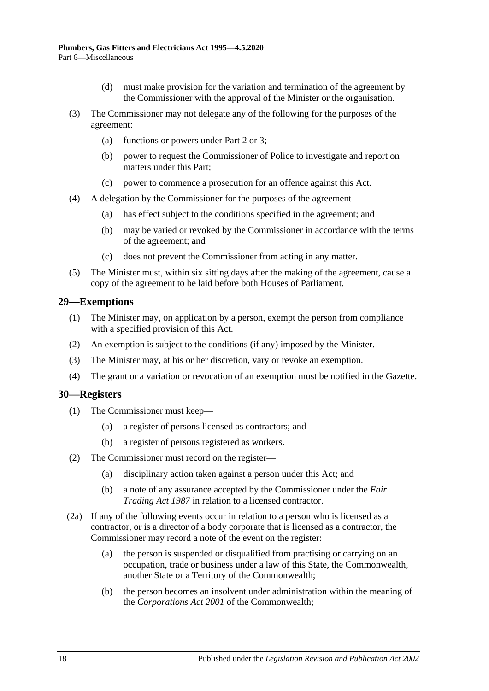- (d) must make provision for the variation and termination of the agreement by the Commissioner with the approval of the Minister or the organisation.
- (3) The Commissioner may not delegate any of the following for the purposes of the agreement:
	- (a) functions or powers under [Part 2](#page-3-2) or [3;](#page-8-1)
	- (b) power to request the Commissioner of Police to investigate and report on matters under this Part;
	- (c) power to commence a prosecution for an offence against this Act.
- (4) A delegation by the Commissioner for the purposes of the agreement—
	- (a) has effect subject to the conditions specified in the agreement; and
	- (b) may be varied or revoked by the Commissioner in accordance with the terms of the agreement; and
	- (c) does not prevent the Commissioner from acting in any matter.
- (5) The Minister must, within six sitting days after the making of the agreement, cause a copy of the agreement to be laid before both Houses of Parliament.

#### <span id="page-17-0"></span>**29—Exemptions**

- (1) The Minister may, on application by a person, exempt the person from compliance with a specified provision of this Act.
- (2) An exemption is subject to the conditions (if any) imposed by the Minister.
- (3) The Minister may, at his or her discretion, vary or revoke an exemption.
- (4) The grant or a variation or revocation of an exemption must be notified in the Gazette.

#### <span id="page-17-1"></span>**30—Registers**

- (1) The Commissioner must keep—
	- (a) a register of persons licensed as contractors; and
	- (b) a register of persons registered as workers.
- (2) The Commissioner must record on the register—
	- (a) disciplinary action taken against a person under this Act; and
	- (b) a note of any assurance accepted by the Commissioner under the *[Fair](http://www.legislation.sa.gov.au/index.aspx?action=legref&type=act&legtitle=Fair%20Trading%20Act%201987)  [Trading Act](http://www.legislation.sa.gov.au/index.aspx?action=legref&type=act&legtitle=Fair%20Trading%20Act%201987) 1987* in relation to a licensed contractor.
- (2a) If any of the following events occur in relation to a person who is licensed as a contractor, or is a director of a body corporate that is licensed as a contractor, the Commissioner may record a note of the event on the register:
	- (a) the person is suspended or disqualified from practising or carrying on an occupation, trade or business under a law of this State, the Commonwealth, another State or a Territory of the Commonwealth;
	- (b) the person becomes an insolvent under administration within the meaning of the *Corporations Act 2001* of the Commonwealth;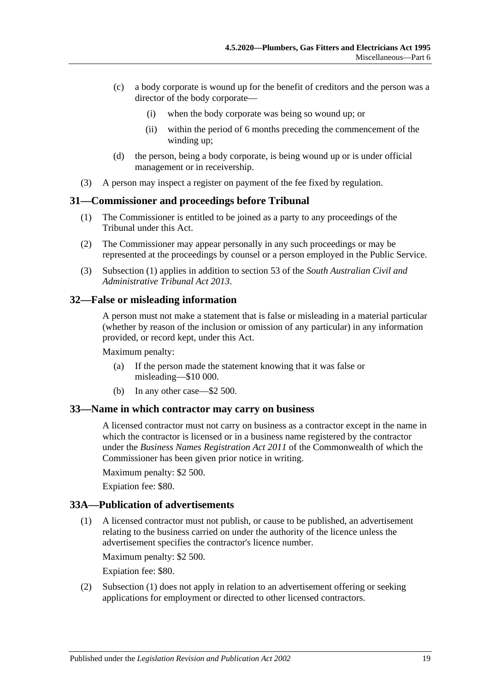- (c) a body corporate is wound up for the benefit of creditors and the person was a director of the body corporate—
	- (i) when the body corporate was being so wound up; or
	- (ii) within the period of 6 months preceding the commencement of the winding up;
- (d) the person, being a body corporate, is being wound up or is under official management or in receivership.
- (3) A person may inspect a register on payment of the fee fixed by regulation.

#### <span id="page-18-4"></span><span id="page-18-0"></span>**31—Commissioner and proceedings before Tribunal**

- (1) The Commissioner is entitled to be joined as a party to any proceedings of the Tribunal under this Act.
- (2) The Commissioner may appear personally in any such proceedings or may be represented at the proceedings by counsel or a person employed in the Public Service.
- (3) [Subsection](#page-18-4) (1) applies in addition to section 53 of the *[South Australian Civil and](http://www.legislation.sa.gov.au/index.aspx?action=legref&type=act&legtitle=South%20Australian%20Civil%20and%20Administrative%20Tribunal%20Act%202013)  [Administrative Tribunal Act](http://www.legislation.sa.gov.au/index.aspx?action=legref&type=act&legtitle=South%20Australian%20Civil%20and%20Administrative%20Tribunal%20Act%202013) 2013*.

#### <span id="page-18-1"></span>**32—False or misleading information**

A person must not make a statement that is false or misleading in a material particular (whether by reason of the inclusion or omission of any particular) in any information provided, or record kept, under this Act.

Maximum penalty:

- (a) If the person made the statement knowing that it was false or misleading—\$10 000.
- (b) In any other case—\$2 500.

#### <span id="page-18-2"></span>**33—Name in which contractor may carry on business**

A licensed contractor must not carry on business as a contractor except in the name in which the contractor is licensed or in a business name registered by the contractor under the *Business Names Registration Act 2011* of the Commonwealth of which the Commissioner has been given prior notice in writing.

Maximum penalty: \$2 500.

Expiation fee: \$80.

#### <span id="page-18-5"></span><span id="page-18-3"></span>**33A—Publication of advertisements**

(1) A licensed contractor must not publish, or cause to be published, an advertisement relating to the business carried on under the authority of the licence unless the advertisement specifies the contractor's licence number.

Maximum penalty: \$2 500.

Expiation fee: \$80.

(2) [Subsection](#page-18-5) (1) does not apply in relation to an advertisement offering or seeking applications for employment or directed to other licensed contractors.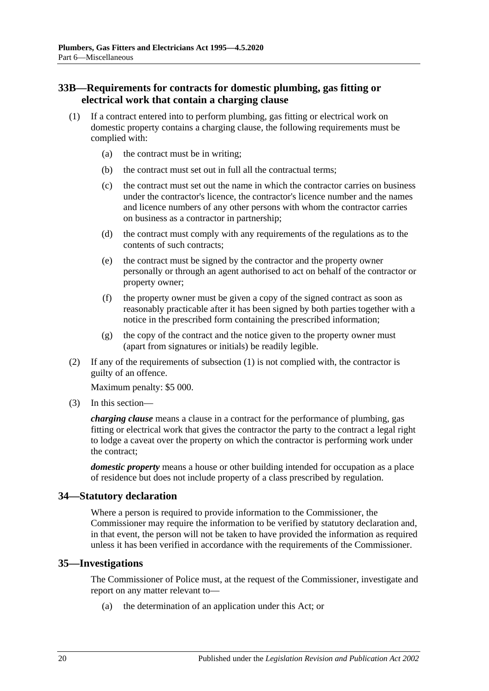#### <span id="page-19-0"></span>**33B—Requirements for contracts for domestic plumbing, gas fitting or electrical work that contain a charging clause**

- <span id="page-19-3"></span>(1) If a contract entered into to perform plumbing, gas fitting or electrical work on domestic property contains a charging clause, the following requirements must be complied with:
	- (a) the contract must be in writing;
	- (b) the contract must set out in full all the contractual terms;
	- (c) the contract must set out the name in which the contractor carries on business under the contractor's licence, the contractor's licence number and the names and licence numbers of any other persons with whom the contractor carries on business as a contractor in partnership;
	- (d) the contract must comply with any requirements of the regulations as to the contents of such contracts;
	- (e) the contract must be signed by the contractor and the property owner personally or through an agent authorised to act on behalf of the contractor or property owner;
	- (f) the property owner must be given a copy of the signed contract as soon as reasonably practicable after it has been signed by both parties together with a notice in the prescribed form containing the prescribed information;
	- (g) the copy of the contract and the notice given to the property owner must (apart from signatures or initials) be readily legible.
- (2) If any of the requirements of [subsection](#page-19-3) (1) is not complied with, the contractor is guilty of an offence.

Maximum penalty: \$5 000.

(3) In this section—

*charging clause* means a clause in a contract for the performance of plumbing, gas fitting or electrical work that gives the contractor the party to the contract a legal right to lodge a caveat over the property on which the contractor is performing work under the contract;

*domestic property* means a house or other building intended for occupation as a place of residence but does not include property of a class prescribed by regulation.

#### <span id="page-19-1"></span>**34—Statutory declaration**

Where a person is required to provide information to the Commissioner, the Commissioner may require the information to be verified by statutory declaration and, in that event, the person will not be taken to have provided the information as required unless it has been verified in accordance with the requirements of the Commissioner.

#### <span id="page-19-2"></span>**35—Investigations**

The Commissioner of Police must, at the request of the Commissioner, investigate and report on any matter relevant to—

(a) the determination of an application under this Act; or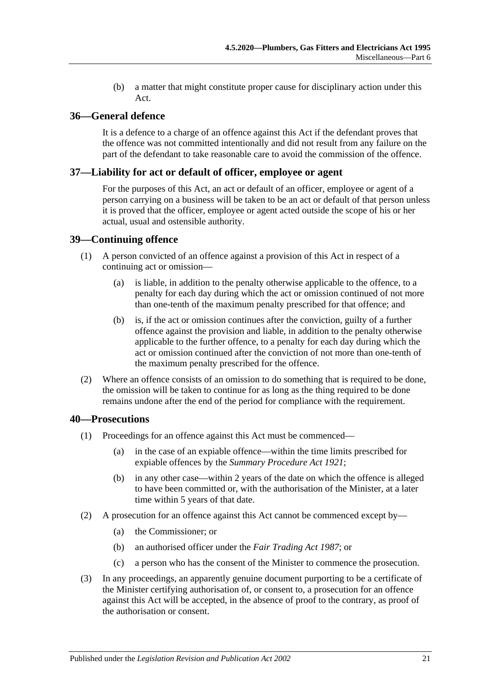(b) a matter that might constitute proper cause for disciplinary action under this Act.

#### <span id="page-20-0"></span>**36—General defence**

It is a defence to a charge of an offence against this Act if the defendant proves that the offence was not committed intentionally and did not result from any failure on the part of the defendant to take reasonable care to avoid the commission of the offence.

#### <span id="page-20-1"></span>**37—Liability for act or default of officer, employee or agent**

For the purposes of this Act, an act or default of an officer, employee or agent of a person carrying on a business will be taken to be an act or default of that person unless it is proved that the officer, employee or agent acted outside the scope of his or her actual, usual and ostensible authority.

#### <span id="page-20-2"></span>**39—Continuing offence**

- (1) A person convicted of an offence against a provision of this Act in respect of a continuing act or omission—
	- (a) is liable, in addition to the penalty otherwise applicable to the offence, to a penalty for each day during which the act or omission continued of not more than one-tenth of the maximum penalty prescribed for that offence; and
	- (b) is, if the act or omission continues after the conviction, guilty of a further offence against the provision and liable, in addition to the penalty otherwise applicable to the further offence, to a penalty for each day during which the act or omission continued after the conviction of not more than one-tenth of the maximum penalty prescribed for the offence.
- (2) Where an offence consists of an omission to do something that is required to be done, the omission will be taken to continue for as long as the thing required to be done remains undone after the end of the period for compliance with the requirement.

#### <span id="page-20-3"></span>**40—Prosecutions**

- (1) Proceedings for an offence against this Act must be commenced—
	- (a) in the case of an expiable offence—within the time limits prescribed for expiable offences by the *[Summary Procedure Act](http://www.legislation.sa.gov.au/index.aspx?action=legref&type=act&legtitle=Summary%20Procedure%20Act%201921) 1921*;
	- (b) in any other case—within 2 years of the date on which the offence is alleged to have been committed or, with the authorisation of the Minister, at a later time within 5 years of that date.
- (2) A prosecution for an offence against this Act cannot be commenced except by—
	- (a) the Commissioner; or
	- (b) an authorised officer under the *[Fair Trading Act](http://www.legislation.sa.gov.au/index.aspx?action=legref&type=act&legtitle=Fair%20Trading%20Act%201987) 1987*; or
	- (c) a person who has the consent of the Minister to commence the prosecution.
- (3) In any proceedings, an apparently genuine document purporting to be a certificate of the Minister certifying authorisation of, or consent to, a prosecution for an offence against this Act will be accepted, in the absence of proof to the contrary, as proof of the authorisation or consent.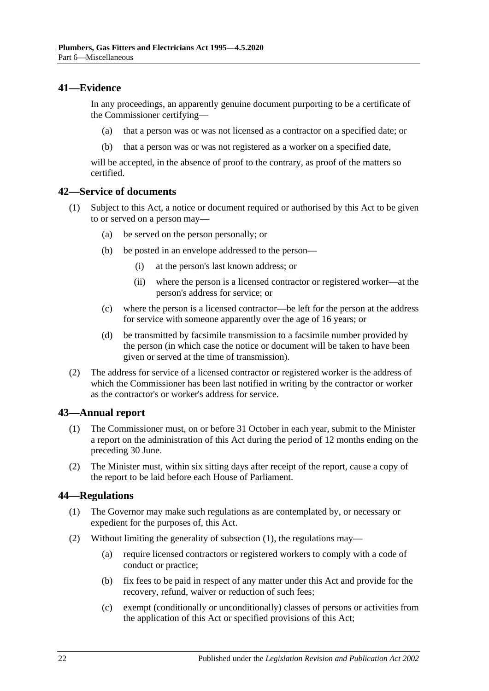#### <span id="page-21-0"></span>**41—Evidence**

In any proceedings, an apparently genuine document purporting to be a certificate of the Commissioner certifying—

- (a) that a person was or was not licensed as a contractor on a specified date; or
- (b) that a person was or was not registered as a worker on a specified date,

will be accepted, in the absence of proof to the contrary, as proof of the matters so certified.

#### <span id="page-21-1"></span>**42—Service of documents**

- (1) Subject to this Act, a notice or document required or authorised by this Act to be given to or served on a person may—
	- (a) be served on the person personally; or
	- (b) be posted in an envelope addressed to the person—
		- (i) at the person's last known address; or
		- (ii) where the person is a licensed contractor or registered worker—at the person's address for service; or
	- (c) where the person is a licensed contractor—be left for the person at the address for service with someone apparently over the age of 16 years; or
	- (d) be transmitted by facsimile transmission to a facsimile number provided by the person (in which case the notice or document will be taken to have been given or served at the time of transmission).
- (2) The address for service of a licensed contractor or registered worker is the address of which the Commissioner has been last notified in writing by the contractor or worker as the contractor's or worker's address for service.

#### <span id="page-21-2"></span>**43—Annual report**

- (1) The Commissioner must, on or before 31 October in each year, submit to the Minister a report on the administration of this Act during the period of 12 months ending on the preceding 30 June.
- (2) The Minister must, within six sitting days after receipt of the report, cause a copy of the report to be laid before each House of Parliament.

#### <span id="page-21-4"></span><span id="page-21-3"></span>**44—Regulations**

- (1) The Governor may make such regulations as are contemplated by, or necessary or expedient for the purposes of, this Act.
- (2) Without limiting the generality of [subsection](#page-21-4) (1), the regulations may—
	- (a) require licensed contractors or registered workers to comply with a code of conduct or practice;
	- (b) fix fees to be paid in respect of any matter under this Act and provide for the recovery, refund, waiver or reduction of such fees;
	- (c) exempt (conditionally or unconditionally) classes of persons or activities from the application of this Act or specified provisions of this Act;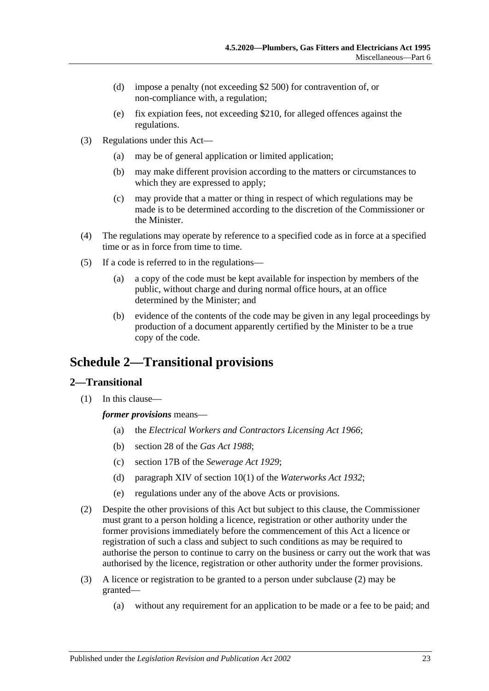- (d) impose a penalty (not exceeding \$2 500) for contravention of, or non-compliance with, a regulation;
- (e) fix expiation fees, not exceeding \$210, for alleged offences against the regulations.
- (3) Regulations under this Act—
	- (a) may be of general application or limited application;
	- (b) may make different provision according to the matters or circumstances to which they are expressed to apply;
	- (c) may provide that a matter or thing in respect of which regulations may be made is to be determined according to the discretion of the Commissioner or the Minister.
- (4) The regulations may operate by reference to a specified code as in force at a specified time or as in force from time to time.
- (5) If a code is referred to in the regulations—
	- (a) a copy of the code must be kept available for inspection by members of the public, without charge and during normal office hours, at an office determined by the Minister; and
	- (b) evidence of the contents of the code may be given in any legal proceedings by production of a document apparently certified by the Minister to be a true copy of the code.

## <span id="page-22-0"></span>**Schedule 2—Transitional provisions**

#### <span id="page-22-1"></span>**2—Transitional**

(1) In this clause—

*former provisions* means—

- (a) the *[Electrical Workers and Contractors Licensing Act](http://www.legislation.sa.gov.au/index.aspx?action=legref&type=act&legtitle=Electrical%20Workers%20and%20Contractors%20Licensing%20Act%201966) 1966*;
- (b) section 28 of the *[Gas Act](http://www.legislation.sa.gov.au/index.aspx?action=legref&type=act&legtitle=Gas%20Act%201988) 1988*;
- (c) section 17B of the *[Sewerage Act](http://www.legislation.sa.gov.au/index.aspx?action=legref&type=act&legtitle=Sewerage%20Act%201929) 1929*;
- (d) paragraph XIV of section 10(1) of the *[Waterworks Act](http://www.legislation.sa.gov.au/index.aspx?action=legref&type=act&legtitle=Waterworks%20Act%201932) 1932*;
- (e) regulations under any of the above Acts or provisions.
- <span id="page-22-2"></span>(2) Despite the other provisions of this Act but subject to this clause, the Commissioner must grant to a person holding a licence, registration or other authority under the former provisions immediately before the commencement of this Act a licence or registration of such a class and subject to such conditions as may be required to authorise the person to continue to carry on the business or carry out the work that was authorised by the licence, registration or other authority under the former provisions.
- (3) A licence or registration to be granted to a person under [subclause](#page-22-2) (2) may be granted—
	- (a) without any requirement for an application to be made or a fee to be paid; and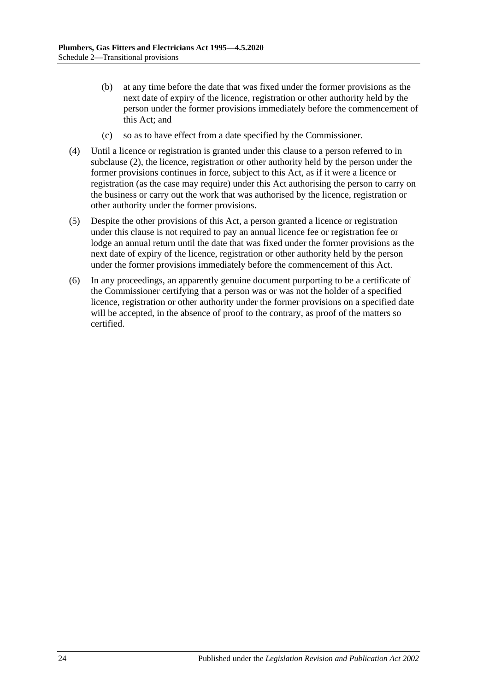- (b) at any time before the date that was fixed under the former provisions as the next date of expiry of the licence, registration or other authority held by the person under the former provisions immediately before the commencement of this Act; and
- (c) so as to have effect from a date specified by the Commissioner.
- (4) Until a licence or registration is granted under this clause to a person referred to in [subclause](#page-22-2) (2), the licence, registration or other authority held by the person under the former provisions continues in force, subject to this Act, as if it were a licence or registration (as the case may require) under this Act authorising the person to carry on the business or carry out the work that was authorised by the licence, registration or other authority under the former provisions.
- (5) Despite the other provisions of this Act, a person granted a licence or registration under this clause is not required to pay an annual licence fee or registration fee or lodge an annual return until the date that was fixed under the former provisions as the next date of expiry of the licence, registration or other authority held by the person under the former provisions immediately before the commencement of this Act.
- (6) In any proceedings, an apparently genuine document purporting to be a certificate of the Commissioner certifying that a person was or was not the holder of a specified licence, registration or other authority under the former provisions on a specified date will be accepted, in the absence of proof to the contrary, as proof of the matters so certified.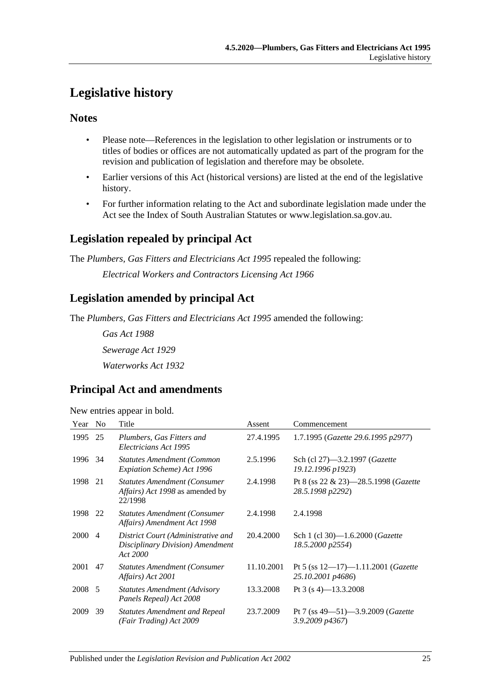## <span id="page-24-0"></span>**Legislative history**

### **Notes**

- Please note—References in the legislation to other legislation or instruments or to titles of bodies or offices are not automatically updated as part of the program for the revision and publication of legislation and therefore may be obsolete.
- Earlier versions of this Act (historical versions) are listed at the end of the legislative history.
- For further information relating to the Act and subordinate legislation made under the Act see the Index of South Australian Statutes or www.legislation.sa.gov.au.

## **Legislation repealed by principal Act**

The *Plumbers, Gas Fitters and Electricians Act 1995* repealed the following:

*Electrical Workers and Contractors Licensing Act 1966*

## **Legislation amended by principal Act**

The *Plumbers, Gas Fitters and Electricians Act 1995* amended the following:

*Gas Act 1988 Sewerage Act 1929 Waterworks Act 1932*

## **Principal Act and amendments**

New entries appear in bold.

| Year | N <sub>o</sub> | Title                                                                              | Assent     | Commencement                                                         |
|------|----------------|------------------------------------------------------------------------------------|------------|----------------------------------------------------------------------|
| 1995 | 25             | Plumbers, Gas Fitters and<br>Electricians Act 1995                                 | 27.4.1995  | 1.7.1995 (Gazette 29.6.1995 p2977)                                   |
| 1996 | 34             | <b>Statutes Amendment (Common</b><br>Expiation Scheme) Act 1996                    | 2.5.1996   | Sch (cl 27)-3.2.1997 (Gazette<br>19.12.1996 p1923)                   |
| 1998 | 21             | <b>Statutes Amendment (Consumer)</b><br>Affairs) Act 1998 as amended by<br>22/1998 | 2.4.1998   | Pt 8 (ss 22 & 23)-28.5.1998 (Gazette<br>28.5.1998 p2292)             |
| 1998 | 22             | <b>Statutes Amendment (Consumer</b><br>Affairs) Amendment Act 1998                 | 2.4.1998   | 2.4.1998                                                             |
| 2000 | $\overline{4}$ | District Court (Administrative and<br>Disciplinary Division) Amendment<br>Act 2000 | 20.4.2000  | Sch 1 (cl 30)-1.6.2000 ( <i>Gazette</i><br>18.5.2000 p2554)          |
| 2001 | 47             | <b>Statutes Amendment (Consumer</b><br>Affairs) Act 2001                           | 11.10.2001 | Pt 5 (ss $12-17$ )-1.11.2001 ( <i>Gazette</i><br>25.10.2001 p4686)   |
| 2008 | -5             | <b>Statutes Amendment (Advisory</b><br>Panels Repeal) Act 2008                     | 13.3.2008  | Pt 3 (s 4)–13.3.2008                                                 |
| 2009 | 39             | <b>Statutes Amendment and Repeal</b><br>(Fair Trading) Act 2009                    | 23.7.2009  | Pt 7 (ss $49 - 51$ ) $-3.9.2009$ ( <i>Gazette</i><br>3.9.2009 p4367) |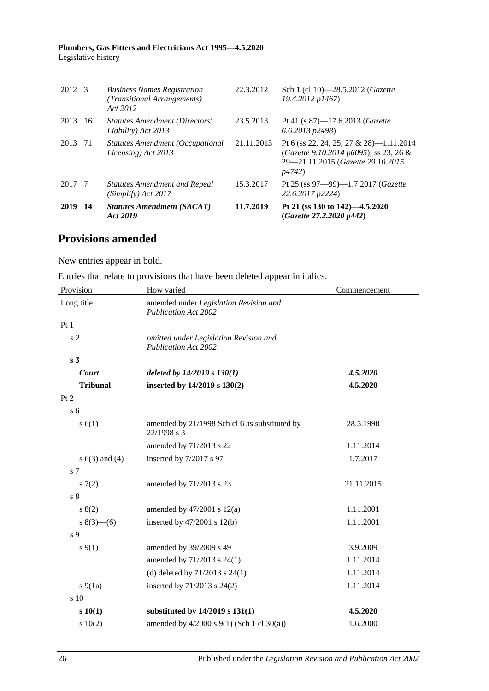#### **Plumbers, Gas Fitters and Electricians Act 1995—4.5.2020** Legislative history

| 2012 3 |     | <b>Business Names Registration</b><br>(Transitional Arrangements)<br>Act 2012 | 22.3.2012  | Sch 1 (cl 10)-28.5.2012 (Gazette<br>19.4.2012 p1467)                                                                             |
|--------|-----|-------------------------------------------------------------------------------|------------|----------------------------------------------------------------------------------------------------------------------------------|
| 2013   | -16 | Statutes Amendment (Directors'<br>Liability) Act 2013                         | 23.5.2013  | Pt 41 (s $87$ )-17.6.2013 ( <i>Gazette</i><br>$(6.6.2013 \text{ p}2498)$                                                         |
| 2013   | -71 | Statutes Amendment (Occupational<br>Licensing) Act 2013                       | 21.11.2013 | Pt 6 (ss 22, 24, 25, 27 & 28)-1.11.2014<br>(Gazette 9.10.2014 p6095); ss 23, 26 &<br>29-21.11.2015 (Gazette 29.10.2015)<br>p4742 |
| 2017 7 |     | <b>Statutes Amendment and Repeal</b><br>(Simplify) Act 2017                   | 15.3.2017  | Pt 25 (ss 97-99)-1.7.2017 (Gazette<br>22.6.2017 p2224)                                                                           |
| 2019   | -14 | <b>Statutes Amendment (SACAT)</b><br>Act 2019                                 | 11.7.2019  | Pt 21 (ss 130 to 142)–4.5.2020<br>(Gazette 27.2.2020 p442)                                                                       |

### **Provisions amended**

New entries appear in bold.

Entries that relate to provisions that have been deleted appear in italics.

| Provision          | How varied                                                            | Commencement |
|--------------------|-----------------------------------------------------------------------|--------------|
| Long title         | amended under Legislation Revision and<br><b>Publication Act 2002</b> |              |
| Pt1                |                                                                       |              |
| s <sub>2</sub>     | omitted under Legislation Revision and<br><b>Publication Act 2002</b> |              |
| s <sub>3</sub>     |                                                                       |              |
| Court              | deleted by $14/2019$ s $130(1)$                                       | 4.5.2020     |
| <b>Tribunal</b>    | inserted by 14/2019 s 130(2)                                          | 4.5.2020     |
| Pt 2               |                                                                       |              |
| s <sub>6</sub>     |                                                                       |              |
| s(6(1))            | amended by 21/1998 Sch cl 6 as substituted by<br>22/1998 s 3          | 28.5.1998    |
|                    | amended by 71/2013 s 22                                               | 1.11.2014    |
| s $6(3)$ and $(4)$ | inserted by 7/2017 s 97                                               | 1.7.2017     |
| s <sub>7</sub>     |                                                                       |              |
| 57(2)              | amended by 71/2013 s 23                                               | 21.11.2015   |
| s <sub>8</sub>     |                                                                       |              |
| 8(2)               | amended by $47/2001$ s $12(a)$                                        | 1.11.2001    |
| $8(3)$ – (6)       | inserted by $47/2001$ s $12(b)$                                       | 1.11.2001    |
| s <sub>9</sub>     |                                                                       |              |
| $s \, 9(1)$        | amended by 39/2009 s 49                                               | 3.9.2009     |
|                    | amended by 71/2013 s 24(1)                                            | 1.11.2014    |
|                    | (d) deleted by $71/2013$ s $24(1)$                                    | 1.11.2014    |
| $s\ 9(1a)$         | inserted by 71/2013 s 24(2)                                           | 1.11.2014    |
| s 10               |                                                                       |              |
| s 10(1)            | substituted by 14/2019 s 131(1)                                       | 4.5.2020     |
| 10(2)              | amended by $4/2000$ s $9(1)$ (Sch 1 cl 30(a))                         | 1.6.2000     |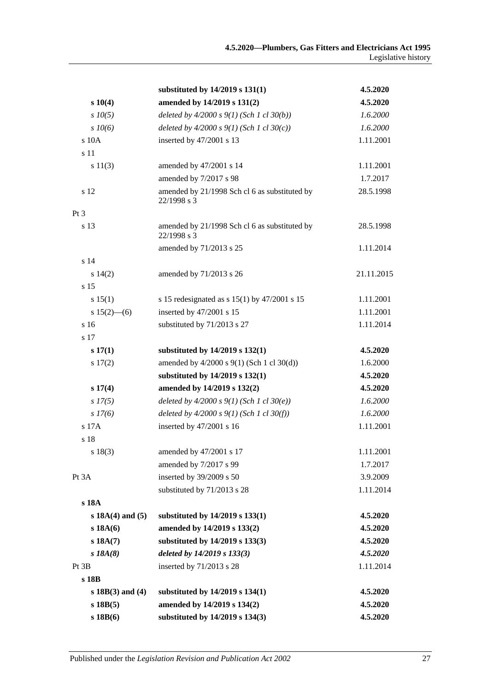|                      | substituted by 14/2019 s 131(1)                              | 4.5.2020   |
|----------------------|--------------------------------------------------------------|------------|
| s 10(4)              | amended by 14/2019 s 131(2)                                  | 4.5.2020   |
| $s$ $10(5)$          | deleted by $4/2000 s 9(1)$ (Sch 1 cl 30(b))                  | 1.6.2000   |
| $s \, 10(6)$         | deleted by $4/2000 s 9(1)$ (Sch 1 cl 30(c))                  | 1.6.2000   |
| s 10A                | inserted by 47/2001 s 13                                     | 1.11.2001  |
| s 11                 |                                                              |            |
| s 11(3)              | amended by 47/2001 s 14                                      | 1.11.2001  |
|                      | amended by 7/2017 s 98                                       | 1.7.2017   |
| s 12                 | amended by 21/1998 Sch cl 6 as substituted by<br>22/1998 s 3 | 28.5.1998  |
| Pt 3                 |                                                              |            |
| s 13                 | amended by 21/1998 Sch cl 6 as substituted by<br>22/1998 s 3 | 28.5.1998  |
|                      | amended by 71/2013 s 25                                      | 1.11.2014  |
| s 14                 |                                                              |            |
| s 14(2)              | amended by 71/2013 s 26                                      | 21.11.2015 |
| s 15                 |                                                              |            |
| s 15(1)              | s 15 redesignated as s $15(1)$ by $47/2001$ s 15             | 1.11.2001  |
| $s 15(2)$ - (6)      | inserted by 47/2001 s 15                                     | 1.11.2001  |
| s <sub>16</sub>      | substituted by 71/2013 s 27                                  | 1.11.2014  |
| s 17                 |                                                              |            |
| s 17(1)              | substituted by 14/2019 s 132(1)                              | 4.5.2020   |
| s 17(2)              | amended by 4/2000 s 9(1) (Sch 1 cl 30(d))                    | 1.6.2000   |
|                      | substituted by 14/2019 s 132(1)                              | 4.5.2020   |
| s 17(4)              | amended by 14/2019 s 132(2)                                  | 4.5.2020   |
| $s\,I7(5)$           | deleted by $4/2000 s 9(1)$ (Sch 1 cl 30(e))                  | 1.6.2000   |
| $s\,I7(6)$           | deleted by $4/2000 s 9(1)$ (Sch 1 cl 30(f))                  | 1.6.2000   |
| s 17A                | inserted by 47/2001 s 16                                     | 1.11.2001  |
| s 18                 |                                                              |            |
| $s\ 18(3)$           | amended by 47/2001 s 17                                      | 1.11.2001  |
|                      | amended by 7/2017 s 99                                       | 1.7.2017   |
| Pt 3A                | inserted by 39/2009 s 50                                     | 3.9.2009   |
|                      | substituted by 71/2013 s 28                                  | 1.11.2014  |
| s 18A                |                                                              |            |
| $s 18A(4)$ and $(5)$ | substituted by 14/2019 s 133(1)                              | 4.5.2020   |
| s18A(6)              | amended by 14/2019 s 133(2)                                  | 4.5.2020   |
| s 18A(7)             | substituted by 14/2019 s 133(3)                              | 4.5.2020   |
| $s$ 18 $A(8)$        | deleted by 14/2019 s 133(3)                                  | 4.5.2020   |
| Pt 3B                | inserted by 71/2013 s 28                                     | 1.11.2014  |
| s 18B                |                                                              |            |
| $s 18B(3)$ and (4)   | substituted by 14/2019 s 134(1)                              | 4.5.2020   |
| $s$ 18B $(5)$        | amended by 14/2019 s 134(2)                                  | 4.5.2020   |
| $s$ 18 $B(6)$        | substituted by 14/2019 s 134(3)                              | 4.5.2020   |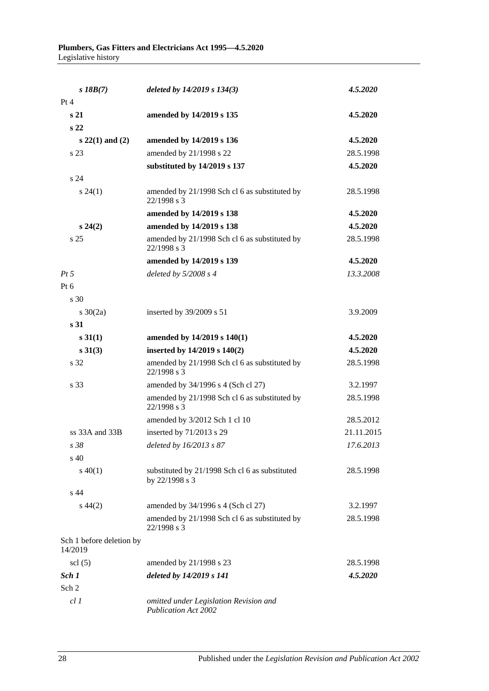| $s$ 18B $(7)$                       | deleted by 14/2019 s 134(3)                                           | 4.5.2020   |
|-------------------------------------|-----------------------------------------------------------------------|------------|
| Pt 4                                |                                                                       |            |
| s <sub>21</sub>                     | amended by 14/2019 s 135                                              | 4.5.2020   |
| s <sub>22</sub>                     |                                                                       |            |
| $s 22(1)$ and $(2)$                 | amended by 14/2019 s 136                                              | 4.5.2020   |
| s 23                                | amended by 21/1998 s 22                                               | 28.5.1998  |
|                                     | substituted by 14/2019 s 137                                          | 4.5.2020   |
| s <sub>24</sub>                     |                                                                       |            |
| $s\,24(1)$                          | amended by 21/1998 Sch cl 6 as substituted by<br>22/1998 s 3          | 28.5.1998  |
|                                     | amended by 14/2019 s 138                                              | 4.5.2020   |
| $s\,24(2)$                          | amended by 14/2019 s 138                                              | 4.5.2020   |
| s <sub>25</sub>                     | amended by 21/1998 Sch cl 6 as substituted by<br>22/1998 s 3          | 28.5.1998  |
|                                     | amended by 14/2019 s 139                                              | 4.5.2020   |
| $Pt\,5$                             | deleted by 5/2008 s 4                                                 | 13.3.2008  |
| $Pt\ 6$                             |                                                                       |            |
| s 30                                |                                                                       |            |
| s $30(2a)$                          | inserted by 39/2009 s 51                                              | 3.9.2009   |
| s 31                                |                                                                       |            |
| s 31(1)                             | amended by 14/2019 s 140(1)                                           | 4.5.2020   |
| $s \ 31(3)$                         | inserted by 14/2019 s 140(2)                                          | 4.5.2020   |
| s 32                                | amended by 21/1998 Sch cl 6 as substituted by<br>22/1998 s 3          | 28.5.1998  |
| s 33                                | amended by 34/1996 s 4 (Sch cl 27)                                    | 3.2.1997   |
|                                     | amended by 21/1998 Sch cl 6 as substituted by<br>22/1998 s 3          | 28.5.1998  |
|                                     | amended by 3/2012 Sch 1 cl 10                                         | 28.5.2012  |
| $ss$ 33A and 33B                    | inserted by 71/2013 s 29                                              | 21.11.2015 |
| s 38                                | deleted by 16/2013 s 87                                               | 17.6.2013  |
| $s\,40$                             |                                                                       |            |
| $s\ 40(1)$                          | substituted by 21/1998 Sch cl 6 as substituted<br>by 22/1998 s 3      | 28.5.1998  |
| s 44                                |                                                                       |            |
| $s\,44(2)$                          | amended by 34/1996 s 4 (Sch cl 27)                                    | 3.2.1997   |
|                                     | amended by 21/1998 Sch cl 6 as substituted by<br>22/1998 s 3          | 28.5.1998  |
| Sch 1 before deletion by<br>14/2019 |                                                                       |            |
| $\text{ }$ scl $\text{(5)}$         | amended by 21/1998 s 23                                               | 28.5.1998  |
| Sch 1                               | deleted by 14/2019 s 141                                              | 4.5.2020   |
| Sch 2                               |                                                                       |            |
| cl1                                 | omitted under Legislation Revision and<br><b>Publication Act 2002</b> |            |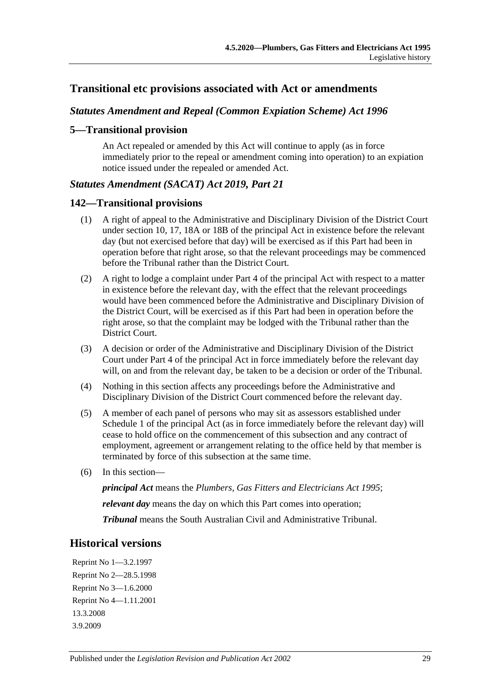### **Transitional etc provisions associated with Act or amendments**

#### *Statutes Amendment and Repeal (Common Expiation Scheme) Act 1996*

#### **5—Transitional provision**

An Act repealed or amended by this Act will continue to apply (as in force immediately prior to the repeal or amendment coming into operation) to an expiation notice issued under the repealed or amended Act.

#### *Statutes Amendment (SACAT) Act 2019, Part 21*

#### **142—Transitional provisions**

- (1) A right of appeal to the Administrative and Disciplinary Division of the District Court under section 10, 17, 18A or 18B of the principal Act in existence before the relevant day (but not exercised before that day) will be exercised as if this Part had been in operation before that right arose, so that the relevant proceedings may be commenced before the Tribunal rather than the District Court.
- (2) A right to lodge a complaint under Part 4 of the principal Act with respect to a matter in existence before the relevant day, with the effect that the relevant proceedings would have been commenced before the Administrative and Disciplinary Division of the District Court, will be exercised as if this Part had been in operation before the right arose, so that the complaint may be lodged with the Tribunal rather than the District Court.
- (3) A decision or order of the Administrative and Disciplinary Division of the District Court under Part 4 of the principal Act in force immediately before the relevant day will, on and from the relevant day, be taken to be a decision or order of the Tribunal.
- (4) Nothing in this section affects any proceedings before the Administrative and Disciplinary Division of the District Court commenced before the relevant day.
- (5) A member of each panel of persons who may sit as assessors established under Schedule 1 of the principal Act (as in force immediately before the relevant day) will cease to hold office on the commencement of this subsection and any contract of employment, agreement or arrangement relating to the office held by that member is terminated by force of this subsection at the same time.
- (6) In this section—

*principal Act* means the *[Plumbers, Gas Fitters and Electricians Act](http://www.legislation.sa.gov.au/index.aspx?action=legref&type=act&legtitle=Plumbers%20Gas%20Fitters%20and%20Electricians%20Act%201995) 1995*;

*relevant day* means the day on which this Part comes into operation;

*Tribunal* means the South Australian Civil and Administrative Tribunal.

#### **Historical versions**

Reprint No 1—3.2.1997 Reprint No 2—28.5.1998 Reprint No 3—1.6.2000 Reprint No 4—1.11.2001 13.3.2008 3.9.2009